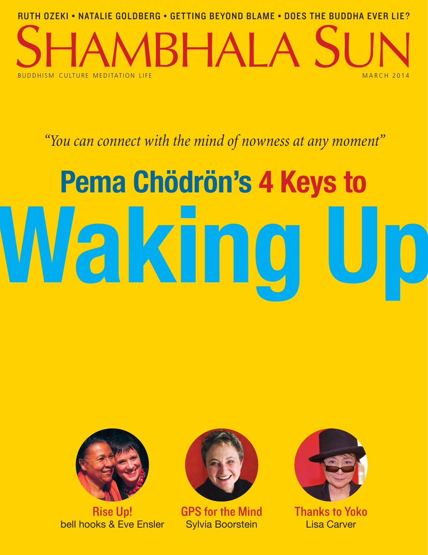

# *"You can connect with the mind of nowness at any moment"*

# **Pema Chödrön's 4 Keys to Waking Up**



Rise Up! bell hooks & Eve Ensler



GPS for the Mind Sylvia Boorstein



Thanks to Yoko Lisa Carver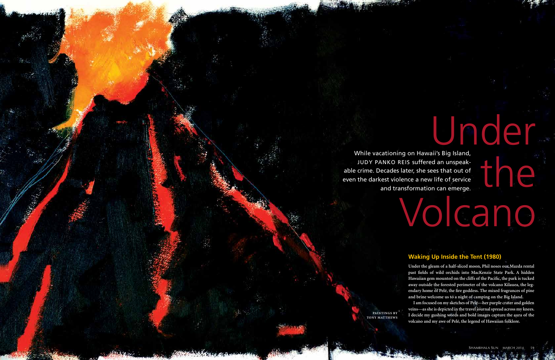the

### **Waking Up Inside the Tent (1980)**

**Under the gleam of a half-sliced moon, Phil noses our Mazda rental past fields of wild orchids into MacKenzie State Park. A hidden Hawaiian gem mounted on the cliffs of the Pacific, the park is tucked away outside the forested perimeter of the volcano Kilauea, the legendary home of Pelé, the fire goddess. The mixed fragrances of pine and brine welcome us to a night of camping on the Big Island.** 

Under Volcano While vacationing on Hawaii's Big Island, Judy Panko Reis suffered an unspeakable crime. Decades later, she sees that out of even the darkest violence a new life of service and transformation can emerge.

**PAINTINGS BY TONY MATTHEWS** 

**I am focused on my sketches of Pelé—her purple crater and golden veins—as she is depicted in the travel journal spread across my knees. I decide my gushing words and bold images capture the aura of the volcano and my awe of Pelé, the legend of Hawaiian folklore.**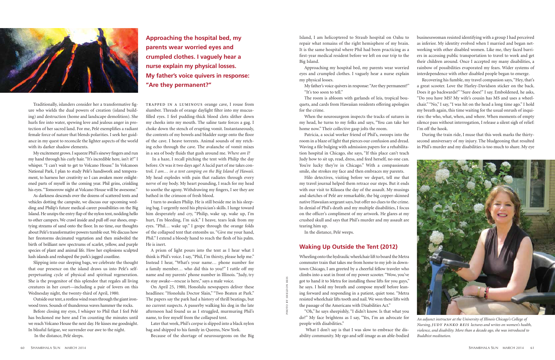

Traditionally, islanders consider her a transformative figure who wields the dual powers of creation (island building) and destruction (home and landscape demolition). She hurls fire into water, spewing love and jealous anger in protection of her sacred land. For me, Pelé exemplifies a radiant female force of nature that blends polarities. I seek her guidance in my quest to reconcile the lighter aspects of the world with its darker shadow elements.

My excitement grows. I squeeze Phil's sinewy fingers and run my hand through his curly hair. "It's incredible here, isn't it?" I whisper. "I can't wait to get to Volcano House." In Volcanoes National Park, I plan to study Pelé's handiwork and temperament, to harness her creativity so I can awaken more enlightened parts of myself in the coming year. Phil grins, crinkling his eyes. "Tomorrow night at Volcano House will be awesome."

As darkness descends over the dozens of scattered tents and vehicles dotting the campsite, we discuss our upcoming wedding and Philip's future medical-career possibilities on the Big Island. He unzips the entry flap of the nylon tent, nodding hello to other campers. We crawl inside and pull off our shoes, emptying streams of sand onto the floor. In no time, our thoughts about Pelé's transformative powers tumble out. We discuss how her firestorms decimated vegetation and then midwifed the birth of brilliant new spectrums of scarlet, yellow, and purple species of plant and animal life. How her explosions sculpted lush islands and reshaped the park's jagged coastline.

**TRAPPED IN A LUMINOUS orange cave, I rouse from** slumber. Threads of orange daylight filter into my mucusfilled eyes. I feel pudding-thick blood clots slither down my cheeks into my mouth. The saline taste forces a gag. I choke down the stench of erupting vomit. Instantaneously, the contents of my bowels and bladder surge onto the floor of the cave. I heave torrents. Animal sounds of my retching echo through the cave. The avalanche of vomit mixes in a sea of body fluids that gush around me. *Where am I?*

Slipping into our sleeping bags, we celebrate the thought that our presence on the island draws us into Pelé's selfperpetuating cycle of physical and spiritual regeneration. She is the progenitor of this splendor that regales all living creatures in her court—including a pair of lovers on this Wednesday night, the twenty-third of April, 1980.

Outside our tent, a restless wind roars through the giant ironwood trees. Sounds of thunderous waves hammer the rocks.

Before closing my eyes, I whisper to Phil that I feel Pelé has beckoned me here and I'm counting the minutes until we reach Volcano House the next day. He kisses me goodnight. In blissful fatigue, we surrender our awe to the night.

In the distance, Pelé sleeps.

 In a haze, I recall pitching the tent with Philip the day before. Or was it two days ago? A lucid part of me takes control. *I am… in a tent camping on the Big Island of Hawaii.* My head explodes with pain that radiates through every nerve of my body. My heart pounding, I reach for my head to soothe the agony. Withdrawing my fingers, I see they are bathed in the crimson of fresh blood.

I turn to awaken Philip. He is still beside me in his sleeping bag. I urgently need his physician's skills. I lunge toward him desperately and cry, "Philip, wake up, wake up, I'm hurt, I'm bleeding, I'm sick." I heave, tears leak from my eyes. "Phil… wake up." I grope through the orange folds of the collapsed tent that entombs us. "Give me your hand, Phil." I extend a bloody hand to reach the flesh of his palm. He is inert.

> What I don't say is that I was slow to embrace the disability community. My ego and self-image as an able-bodied

A prism of light pours into the tent as I hear what I think is Phil's voice. I say, "Phil, I'm thirsty, please help me." Instead I hear, "What's your name… phone number for a family member… who did this to you?" I rattle off my name and my parents' phone number in Illinois. "Judy, try to stay awake—rescue is here," says a male voice.

On April 25, 1980, Honolulu newspapers deliver these headlines: "Honolulu Doctor Slain," "Two Beaten at Park." The papers say the park had a history of thrill beatings, but no current suspects. A passerby walking his dog in the late afternoon had found us as I struggled, murmuring Phil's name, to free myself from the collapsed tent.

Later that week, Phil's corpse is slipped into a black nylon bag and shipped to his family in Queens, New York.

Because of the shortage of neurosurgeons on the Big

Island, I am helicoptered to Straub hospital on Oahu to repair what remains of the right hemisphere of my brain. It is the same hospital where Phil had been practicing as a first-year medical resident before we left on our trip to the Big Island.

Approaching my hospital bed, my parents wear worried eyes and crumpled clothes. I vaguely hear a nurse explain my physical losses.

My father's voice quivers in response: "Are they permanent?" "It's too soon to tell."

The room is abloom with garlands of leis, tropical bouquets, and cards from Hawaiian residents offering apologies for the crime.

When the neurosurgeon inspects the tracks of sutures in my head, he turns to my folks and says, "You can take her home now." Their collective gasp jolts the room.

Patricia, a social worker friend of Phil's, swoops into the room in a blaze of light that pierces our confusion and dread. Waving a file bulging with admission papers for a rehabilitation hospital in Chicago, she says, "If this place can't teach Judy how to sit up, read, dress, and feed herself, no one can. You're lucky they're in Chicago." With a compassionate smile, she strokes my face and then embraces my parents.

Hilo detectives, visiting before we depart, tell me that my travel journal helped them retrace our steps. But it ends with our visit to Kilauea the day of the assault. My musings and sketches of Pelé are remarkable, the big copper-skinned native Hawaiian sergeant says, but offer no clues to the crime. In denial of Phil's death and my multiple disabilities, I focus on the officer's compliment of my artwork. He glares at my crushed skull and says that Phil's murder and my assault are tearing him up.

In the distance, Pelé weeps.

### **Waking Up Outside the Tent (2012)**

Wheeling onto the hydraulic wheelchair lift to board the Metra commuter train that takes me from home to my job in downtown Chicago, I am greeted by a cheerful fellow traveler who climbs into a seat in front of my power scooter. "Wow, you've got to hand it to Metra for installing those lifts for you guys," he says. I hold my breath and compose myself before leaning forward and responding in a patient, quiet tone. "Metra resisted wheelchair lifts tooth and nail. We won these lifts with the passage of the Americans with Disabilities Act."

"Oh," he says sheepishly, "I didn't know. Is that what you do?" My face brightens as I say, "Yes, I'm an advocate for people with disabilities."



*An adjunct instructor at the University of Illinois Chicago's College of Nursing, Judy Panko Reis lectures and writes on women's health, violence, and disability. More than a decade ago, she was introduced to Buddhist meditation.*

businesswoman resisted identifying with a group I had perceived as inferior. My identity evolved when I married and began networking with other disabled women. Like me, they faced barriers in accessing public transportation to travel to work and get their children around. Once I accepted my many disabilities, a rainbow of possibilities evaporated my fears. Wider systems of interdependence with other disabled people began to emerge.

Recovering his fumble, my travel companion says, "Hey, that's a great scooter. Love the Harley-Davidson sticker on the back. Does it go backwards?" "Sure does!" I say. Emboldened, he asks, "Do you have MS? My wife's cousin has MS and uses a wheelchair." "No," I say, "I was hit on the head a long time ago." I hold my breath again, this time waiting for the usual onrush of inquiries: the who, what, when, and where. When moments of empty silence pass without interrogation, I release a silent sigh of relief: I'm off the hook.

During the train ride, I muse that this week marks the thirtysecond anniversary of my injury. The bludgeoning that resulted in Phil's murder and my disabilities is too much to share. My eye

**Approaching the hospital bed, my parents wear worried eyes and crumpled clothes. I vaguely hear a nurse explain my physical losses. My father's voice quivers in response: "Are they permanent?"**

photo

by Sheldon Reis

PHOTO BY SHELDON REIS